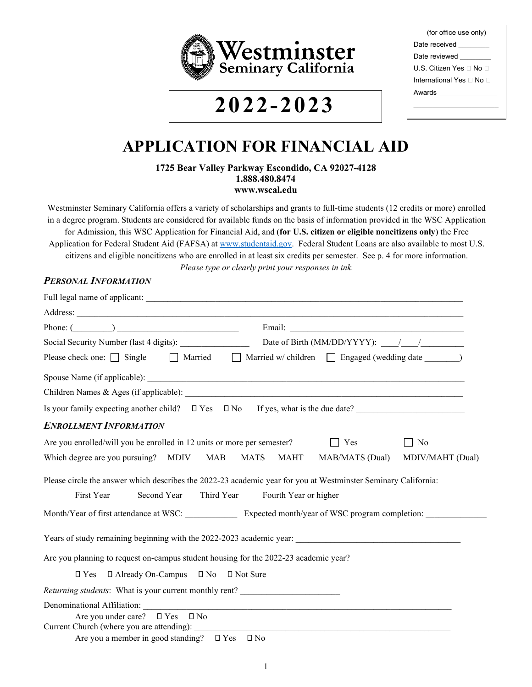

# **2022-2023**

| (for office use only)    |
|--------------------------|
| Date received            |
| Date reviewed            |
| U.S. Citizen Yes ⊟ No ⊟  |
| International Yes □ No □ |
| Awards <b>Awards</b>     |
|                          |

# **APPLICATION FOR FINANCIAL AID**

**1725 Bear Valley Parkway Escondido, CA 92027-4128 1.888.480.8474 www.wscal.edu**

Westminster Seminary California offers a variety of scholarships and grants to full-time students (12 credits or more) enrolled in a degree program. Students are considered for available funds on the basis of information provided in the WSC Application for Admission, this WSC Application for Financial Aid, and (**for U.S. citizen or eligible noncitizens only**) the Free Application for Federal Student Aid (FAFSA) at [www.studentaid.gov.](http://www.studentaid.gov/) Federal Student Loans are also available to most U.S. citizens and eligible noncitizens who are enrolled in at least six credits per semester. See p. 4 for more information. *Please type or clearly print your responses in ink.*

#### *PERSONAL INFORMATION*

| Address:                                                                                                                                                                     |  |  |  |  |  |
|------------------------------------------------------------------------------------------------------------------------------------------------------------------------------|--|--|--|--|--|
| Phone: $(\_\_)$                                                                                                                                                              |  |  |  |  |  |
| Date of Birth (MM/DD/YYYY): //                                                                                                                                               |  |  |  |  |  |
| Please check one: $\Box$ Single $\Box$ Married $\Box$ Married w/children $\Box$ Engaged (wedding date $\Box$ )                                                               |  |  |  |  |  |
|                                                                                                                                                                              |  |  |  |  |  |
|                                                                                                                                                                              |  |  |  |  |  |
| Is your family expecting another child? $\Box$ Yes $\Box$ No If yes, what is the due date?                                                                                   |  |  |  |  |  |
| <b>ENROLLMENT INFORMATION</b>                                                                                                                                                |  |  |  |  |  |
| Are you enrolled/will you be enrolled in 12 units or more per semester?<br>Yes<br>    No<br>$\mathbf{I}$                                                                     |  |  |  |  |  |
| Which degree are you pursuing? MDIV MAB<br><b>MATS</b><br><b>MAHT</b><br>MAB/MATS (Dual)<br>MDIV/MAHT (Dual)                                                                 |  |  |  |  |  |
| Please circle the answer which describes the 2022-23 academic year for you at Westminster Seminary California:<br>First Year<br>Second Year Third Year Fourth Year or higher |  |  |  |  |  |
| Month/Year of first attendance at WSC: Expected month/year of WSC program completion:                                                                                        |  |  |  |  |  |
|                                                                                                                                                                              |  |  |  |  |  |
| Are you planning to request on-campus student housing for the 2022-23 academic year?                                                                                         |  |  |  |  |  |
| $\Box$ Already On-Campus $\Box$ No $\Box$ Not Sure<br>$\square$ Yes                                                                                                          |  |  |  |  |  |
| Returning students: What is your current monthly rent? _________________________                                                                                             |  |  |  |  |  |
| Denominational Affiliation:                                                                                                                                                  |  |  |  |  |  |
| Are you under care? $\square$ Yes $\square$ No<br>Current Church (where you are attending):                                                                                  |  |  |  |  |  |
| Are you a member in good standing? $\square$ Yes $\square$ No                                                                                                                |  |  |  |  |  |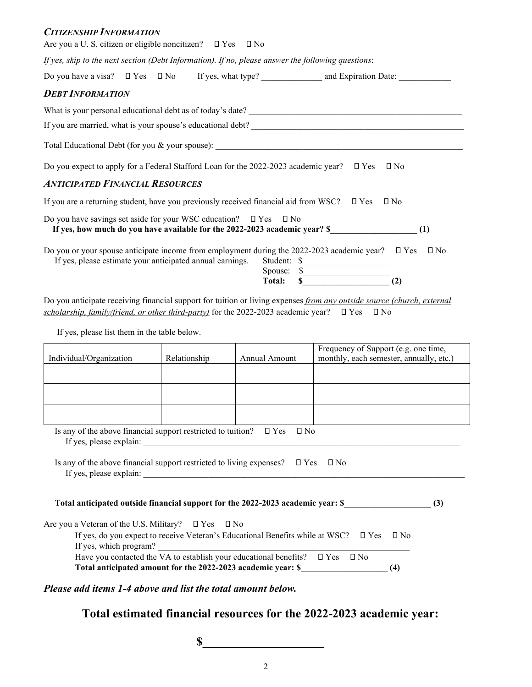#### *CITIZENSHIP INFORMATION*

| Are you a U. S. citizen or eligible noncitizen? $\square$ Yes $\square$ No                                                                    |  |  |           |                                                                                                                                                                                    |
|-----------------------------------------------------------------------------------------------------------------------------------------------|--|--|-----------|------------------------------------------------------------------------------------------------------------------------------------------------------------------------------------|
| If yes, skip to the next section (Debt Information). If no, please answer the following questions:                                            |  |  |           |                                                                                                                                                                                    |
|                                                                                                                                               |  |  |           |                                                                                                                                                                                    |
| <b>DEBT INFORMATION</b>                                                                                                                       |  |  |           |                                                                                                                                                                                    |
|                                                                                                                                               |  |  |           |                                                                                                                                                                                    |
|                                                                                                                                               |  |  |           |                                                                                                                                                                                    |
|                                                                                                                                               |  |  |           |                                                                                                                                                                                    |
| Do you expect to apply for a Federal Stafford Loan for the 2022-2023 academic year? $\Box$ Yes                                                |  |  |           | $\square$ No                                                                                                                                                                       |
| <b>ANTICIPATED FINANCIAL RESOURCES</b>                                                                                                        |  |  |           |                                                                                                                                                                                    |
| If you are a returning student, have you previously received financial aid from WSC? $\Box$ Yes                                               |  |  |           | $\square$ No                                                                                                                                                                       |
| Do you have savings set aside for your WSC education? $\square$ Yes                                                                           |  |  | $\Box$ No | If yes, how much do you have available for the 2022-2023 academic year? \$<br>(1)                                                                                                  |
| If yes, please estimate your anticipated annual earnings.                                                                                     |  |  |           | Do you or your spouse anticipate income from employment during the 2022-2023 academic year? $\square$ Yes<br>$\square$ No<br>Student: \$<br>Spouse: $\overline{\text{Total:}}$ (2) |
| scholarship, family/friend, or other third-party) for the 2022-2023 academic year? $\Box$ Yes<br>If yes, please list them in the table below. |  |  |           | Do you anticipate receiving financial support for tuition or living expenses from any outside source (church, external<br>$\square$ No                                             |
| Frequency of Support (e.g. one time,<br>Individual/Organization<br>Relationship<br>Annual Amount<br>monthly, each semester, annually, etc.)   |  |  |           |                                                                                                                                                                                    |
|                                                                                                                                               |  |  |           |                                                                                                                                                                                    |
|                                                                                                                                               |  |  |           |                                                                                                                                                                                    |

Is any of the above financial support restricted to tuition?  $\Box$  Yes  $\Box$  No If yes, please explain: \_\_\_\_\_\_\_\_\_\_\_\_\_\_\_\_\_\_\_\_\_\_\_\_\_\_\_\_\_\_\_\_\_\_\_\_\_\_\_\_\_\_\_\_\_\_\_\_\_\_\_\_\_\_\_\_\_\_\_\_\_\_\_\_\_\_\_\_\_\_\_\_\_

Is any of the above financial support restricted to living expenses?  $\square$  Yes  $\square$  No If yes, please explain:  $\Box$ 

 **Total anticipated outside financial support for the 2022-2023 academic year: \$\_\_\_\_\_\_\_\_\_\_\_\_\_\_\_\_\_\_\_\_ (3)**

Are you a Veteran of the U.S. Military?  $\Box$  Yes  $\Box$  No

| If yes, do you expect to receive Veteran's Educational Benefits while at WSC? $\Box$ Yes $\Box$ No |  |     |  |  |
|----------------------------------------------------------------------------------------------------|--|-----|--|--|
| If yes, which program?                                                                             |  |     |  |  |
| Have you contacted the VA to establish your educational benefits? $\square$ Yes $\square$ No       |  |     |  |  |
| Total anticipated amount for the 2022-2023 academic year: \$                                       |  | (4) |  |  |

*Please add items 1-4 above and list the total amount below.*

**Total estimated financial resources for the 2022-2023 academic year:**

 $\mathbf S$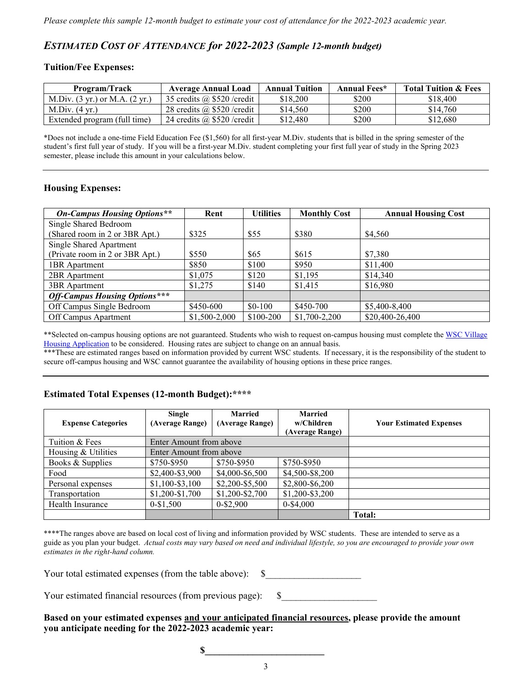# *ESTIMATED COST OF ATTENDANCE for 2022-2023 (Sample 12-month budget)*

#### **Tuition/Fee Expenses:**

| Program/Track                                      | <b>Average Annual Load</b>         | <b>Annual Tuition</b> | Annual Fees* | <b>Total Tuition &amp; Fees</b> |
|----------------------------------------------------|------------------------------------|-----------------------|--------------|---------------------------------|
| M.Div. $(3 \text{ yr.})$ or M.A. $(2 \text{ yr.})$ | 35 credits $(a)$ \$520 / credit    | \$18,200              | \$200        | \$18,400                        |
| M.Div. $(4 \text{ yr.})$                           | 28 credits $(a)$ \$520 / credit    | \$14.560              | \$200        | \$14,760                        |
| Extended program (full time)                       | 24 credits $\omega$ \$520 / credit | \$12,480              | \$200        | \$12,680                        |

\*Does not include a one-time Field Education Fee (\$1,560) for all first-year M.Div. students that is billed in the spring semester of the student's first full year of study. If you will be a first-year M.Div. student completing your first full year of study in the Spring 2023 semester, please include this amount in your calculations below.

#### **Housing Expenses:**

| <b>On-Campus Housing Options**</b>   | Rent          | <b>Utilities</b> | <b>Monthly Cost</b> | <b>Annual Housing Cost</b> |
|--------------------------------------|---------------|------------------|---------------------|----------------------------|
| Single Shared Bedroom                |               |                  |                     |                            |
| (Shared room in 2 or 3BR Apt.)       | \$325         | \$55             | \$380               | \$4,560                    |
| Single Shared Apartment              |               |                  |                     |                            |
| (Private room in 2 or 3BR Apt.)      | \$550         | \$65             | \$615               | \$7,380                    |
| <b>1BR</b> Apartment                 | \$850         | \$100            | \$950               | \$11,400                   |
| 2BR Apartment                        | \$1,075       | \$120            | \$1,195             | \$14,340                   |
| 3BR Apartment                        | \$1,275       | \$140            | \$1,415             | \$16,980                   |
| <b>Off-Campus Housing Options***</b> |               |                  |                     |                            |
| Off Campus Single Bedroom            | \$450-600     | $$0-100$         | \$450-700           | \$5,400-8,400              |
| Off Campus Apartment                 | \$1,500-2,000 | \$100-200        | $$1,700-2,200$      | \$20,400-26,400            |

\*\*Selected on-campus housing options are not guaranteed. Students who wish to request on-campus housing must complete the WSC Village [Housing Application](https://wscvillage.managebuilding.com/Resident/apps/rentalapp/) to be considered. Housing rates are subject to change on an annual basis.

\*\*\*These are estimated ranges based on information provided by current WSC students. If necessary, it is the responsibility of the student to secure off-campus housing and WSC cannot guarantee the availability of housing options in these price ranges.

#### **Estimated Total Expenses (12-month Budget):\*\*\*\***

| <b>Expense Categories</b> | Single<br>(Average Range) | Married<br>(Average Range) | Married<br>w/Children<br>(Average Range) | <b>Your Estimated Expenses</b> |
|---------------------------|---------------------------|----------------------------|------------------------------------------|--------------------------------|
| Tuition & Fees            | Enter Amount from above   |                            |                                          |                                |
| Housing & Utilities       | Enter Amount from above   |                            |                                          |                                |
| Books & Supplies          | \$750-\$950               | \$750-\$950                | \$750-\$950                              |                                |
| Food                      | \$2,400-\$3,900           | \$4,000-\$6,500            | \$4,500-\$8,200                          |                                |
| Personal expenses         | $$1,100-S3,100$           | \$2,200-\$5,500            | \$2,800-\$6,200                          |                                |
| Transportation            | \$1,200-\$1,700           | \$1,200-\$2,700            | \$1,200-\$3,200                          |                                |
| Health Insurance          | $0 - $1,500$              | 0-\$2,900                  | $0 - $4,000$                             |                                |
|                           |                           |                            |                                          | <b>Total:</b>                  |

\*\*\*\*The ranges above are based on local cost of living and information provided by WSC students. These are intended to serve as a guide as you plan your budget. *Actual costs may vary based on need and individual lifestyle, so you are encouraged to provide your own estimates in the right-hand column.*

Your total estimated expenses (from the table above):  $$$ 

Your estimated financial resources (from previous page): \$\_\_\_\_\_\_\_\_\_\_\_\_\_\_\_\_\_\_\_\_

**Based on your estimated expenses and your anticipated financial resources, please provide the amount you anticipate needing for the 2022-2023 academic year:**

 $\sim$